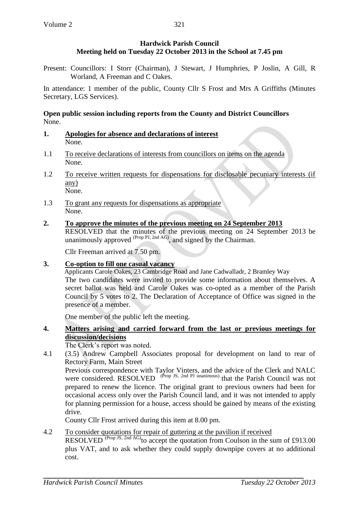# **Hardwick Parish Council Meeting held on Tuesday 22 October 2013 in the School at 7.45 pm**

Present: Councillors: I Storr (Chairman), J Stewart, J Humphries, P Joslin, A Gill, R Worland, A Freeman and C Oakes.

In attendance: 1 member of the public, County Cllr S Frost and Mrs A Griffiths (Minutes Secretary, LGS Services).

## **Open public session including reports from the County and District Councillors** None.

- **1. Apologies for absence and declarations of interest** None.
- 1.1 To receive declarations of interests from councillors on items on the agenda None.
- 1.2 To receive written requests for dispensations for disclosable pecuniary interests (if any) None.
- 1.3 To grant any requests for dispensations as appropriate None.
- **2. To approve the minutes of the previous meeting on 24 September 2013** RESOLVED that the minutes of the previous meeting on 24 September 2013 be unanimously approved  $^{(Prop\,PI,\,2nd\,AG)}$ , and signed by the Chairman.

Cllr Freeman arrived at 7.50 pm.

#### **3. Co-option to fill one casual vacancy**

Applicants Carole Oakes, 23 Cambridge Road and Jane Cadwalladr, 2 Bramley Way The two candidates were invited to provide some information about themselves. A secret ballot was held and Carole Oakes was co-opted as a member of the Parish Council by 5 votes to 2. The Declaration of Acceptance of Office was signed in the presence of a member.

One member of the public left the meeting.

### **4. Matters arising and carried forward from the last or previous meetings for discussion/decisions**

The Clerk's report was noted.

4.1 (3.5) Andrew Campbell Associates proposal for development on land to rear of Rectory Farm, Main Street

Previous correspondence with Taylor Vinters, and the advice of the Clerk and NALC were considered. RESOLVED <sup>(Prop JS, 2nd PJ unanimous)</sup> that the Parish Council was not prepared to renew the licence. The original grant to previous owners had been for occasional access only over the Parish Council land, and it was not intended to apply for planning permission for a house, access should be gained by means of the existing drive.

County Cllr Frost arrived during this item at 8.00 pm.

## 4.2 To consider quotations for repair of guttering at the pavilion if received

RESOLVED  $^{(Prop\,JS, 2nd\,\text{AG})}$  to accept the quotation from Coulson in the sum of £913.00 plus VAT, and to ask whether they could supply downpipe covers at no additional cost.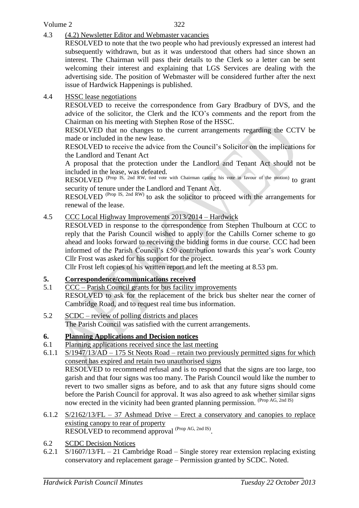## Volume 2

4.3 (4.2) Newsletter Editor and Webmaster vacancies

RESOLVED to note that the two people who had previously expressed an interest had subsequently withdrawn, but as it was understood that others had since shown an interest. The Chairman will pass their details to the Clerk so a letter can be sent welcoming their interest and explaining that LGS Services are dealing with the advertising side. The position of Webmaster will be considered further after the next issue of Hardwick Happenings is published.

## 4.4 HSSC lease negotiations

RESOLVED to receive the correspondence from Gary Bradbury of DVS, and the advice of the solicitor, the Clerk and the ICO's comments and the report from the Chairman on his meeting with Stephen Rose of the HSSC.

RESOLVED that no changes to the current arrangements regarding the CCTV be made or included in the new lease.

RESOLVED to receive the advice from the Council's Solicitor on the implications for the Landlord and Tenant Act

A proposal that the protection under the Landlord and Tenant Act should not be included in the lease, was defeated.

RESOLVED <sup>(Prop IS, 2nd RW, tied vote with Chairman casting his vote in favour of the motion) to grant</sup> security of tenure under the Landlord and Tenant Act.

RESOLVED <sup>(Prop IS, 2nd RW)</sup> to ask the solicitor to proceed with the arrangements for renewal of the lease.

### 4.5 CCC Local Highway Improvements 2013/2014 – Hardwick

RESOLVED in response to the correspondence from Stephen Thulbourn at CCC to reply that the Parish Council wished to apply for the Cahills Corner scheme to go ahead and looks forward to receiving the bidding forms in due course. CCC had been informed of the Parish Council's £50 contribution towards this year's work County Cllr Frost was asked for his support for the project.

Cllr Frost left copies of his written report and left the meeting at 8.53 pm.

## **5. Correspondence/communications received**

- 5.1 CCC Parish Council grants for bus facility improvements RESOLVED to ask for the replacement of the brick bus shelter near the corner of Cambridge Road, and to request real time bus information.
- 5.2 SCDC review of polling districts and places The Parish Council was satisfied with the current arrangements.

## **6. Planning Applications and Decision notices**

- 6.1 Planning applications received since the last meeting
- 6.1.1 S/1947/13/AD 175 St Neots Road retain two previously permitted signs for which consent has expired and retain two unauthorised signs RESOLVED to recommend refusal and is to respond that the signs are too large, too garish and that four signs was too many. The Parish Council would like the number to revert to two smaller signs as before, and to ask that any future signs should come before the Parish Council for approval. It was also agreed to ask whether similar signs now erected in the vicinity had been granted planning permission. (Prop AG, 2nd IS)
- 6.1.2 S/2162/13/FL 37 Ashmead Drive Erect a conservatory and canopies to replace existing canopy to rear of property RESOLVED to recommend approval <sup>(Prop AG, 2nd IS)</sup>.
- 6.2 SCDC Decision Notices
- 6.2.1 S/1607/13/FL 21 Cambridge Road Single storey rear extension replacing existing conservatory and replacement garage – Permission granted by SCDC. Noted.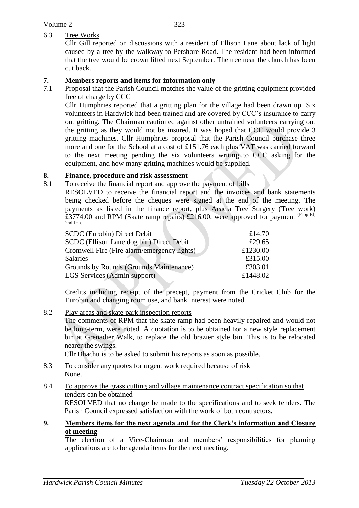#### 323

## 6.3 Tree Works

Cllr Gill reported on discussions with a resident of Ellison Lane about lack of light caused by a tree by the walkway to Pershore Road. The resident had been informed that the tree would be crown lifted next September. The tree near the church has been cut back.

### **7. Members reports and items for information only**

7.1 Proposal that the Parish Council matches the value of the gritting equipment provided free of charge by CCC

Cllr Humphries reported that a gritting plan for the village had been drawn up. Six volunteers in Hardwick had been trained and are covered by CCC's insurance to carry out gritting. The Chairman cautioned against other untrained volunteers carrying out the gritting as they would not be insured. It was hoped that CCC would provide 3 gritting machines. Cllr Humphries proposal that the Parish Council purchase three more and one for the School at a cost of £151.76 each plus VAT was carried forward to the next meeting pending the six volunteers writing to CCC asking for the equipment, and how many gritting machines would be supplied.

## **8. Finance, procedure and risk assessment**

8.1 To receive the financial report and approve the payment of bills

RESOLVED to receive the financial report and the invoices and bank statements being checked before the cheques were signed at the end of the meeting. The payments as listed in the finance report, plus Acacia Tree Surgery (Tree work) £3774.00 and RPM (Skate ramp repairs) £216.00, were approved for payment <sup>(Prop PJ</sup>, 2nd JH).

| <b>SCDC</b> (Eurobin) Direct Debit          | £14.70   |
|---------------------------------------------|----------|
| SCDC (Ellison Lane dog bin) Direct Debit    | £29.65   |
| Cromwell Fire (Fire alarm/emergency lights) | £1230.00 |
| <b>Salaries</b>                             | £315.00  |
| Grounds by Rounds (Grounds Maintenance)     | £303.01  |
| LGS Services (Admin support)                | £1448.02 |

Credits including receipt of the precept, payment from the Cricket Club for the Eurobin and changing room use, and bank interest were noted.

8.2 Play areas and skate park inspection reports

The comments of RPM that the skate ramp had been heavily repaired and would not be long-term, were noted. A quotation is to be obtained for a new style replacement bin at Grenadier Walk, to replace the old brazier style bin. This is to be relocated nearer the swings.

Cllr Bhachu is to be asked to submit his reports as soon as possible.

8.3 To consider any quotes for urgent work required because of risk None.

#### 8.4 To approve the grass cutting and village maintenance contract specification so that tenders can be obtained

RESOLVED that no change be made to the specifications and to seek tenders. The Parish Council expressed satisfaction with the work of both contractors.

### **9. Members items for the next agenda and for the Clerk's information and Closure of meeting**

The election of a Vice-Chairman and members' responsibilities for planning applications are to be agenda items for the next meeting.